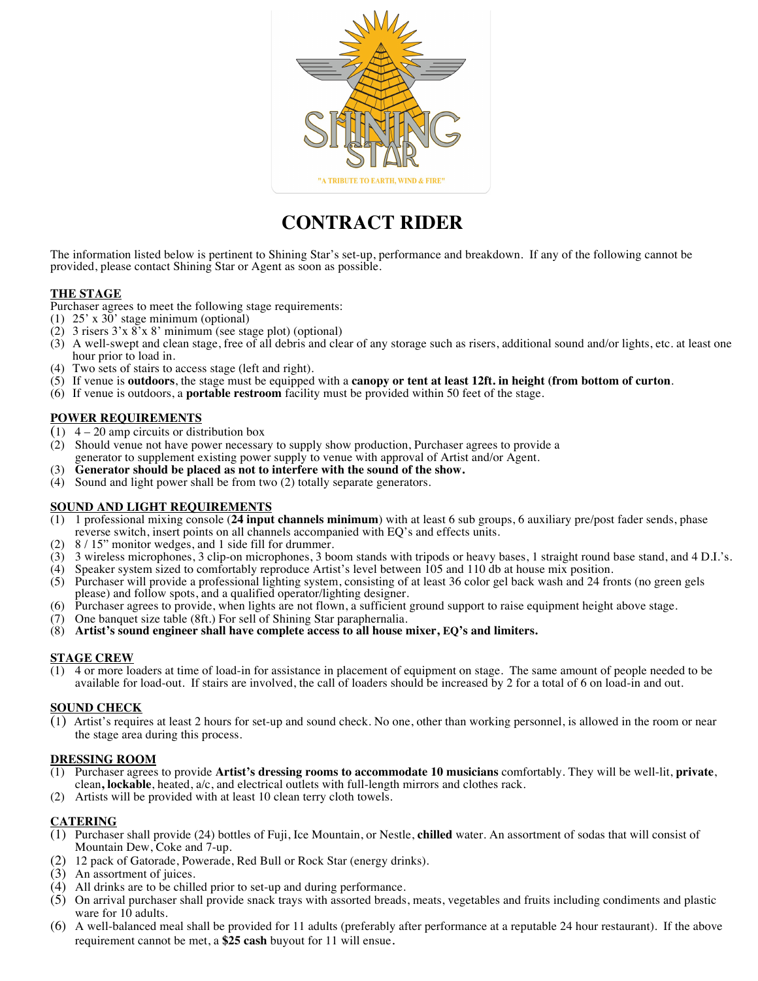

# **CONTRACT RIDER**

The information listed below is pertinent to Shining Star's set-up, performance and breakdown. If any of the following cannot be provided, please contact Shining Star or Agent as soon as possible.

# **THE STAGE**

Purchaser agrees to meet the following stage requirements:

- (1)  $25'$  x  $30'$  stage minimum (optional)
- (2) 3 risers 3'x 8'x 8' minimum (see stage plot) (optional)
- (3) A well-swept and clean stage, free of all debris and clear of any storage such as risers, additional sound and/or lights, etc. at least one hour prior to load in.
- (4) Two sets of stairs to access stage (left and right).
- (5) If venue is **outdoors**, the stage must be equipped with a **canopy or tent at least 12ft. in height (from bottom of curton**.
- (6) If venue is outdoors, a **portable restroom** facility must be provided within 50 feet of the stage.

# **POWER REQUIREMENTS**

- $(1)$  4 20 amp circuits or distribution box
- (2) Should venue not have power necessary to supply show production, Purchaser agrees to provide a generator to supplement existing power supply to venue with approval of Artist and/or Agent.
- (3) **Generator should be placed as not to interfere with the sound of the show.**
- (4) Sound and light power shall be from two (2) totally separate generators.

# **SOUND AND LIGHT REQUIREMENTS**

- (1) 1 professional mixing console (**24 input channels minimum**) with at least 6 sub groups, 6 auxiliary pre/post fader sends, phase reverse switch, insert points on all channels accompanied with EQ's and effects units.
- (2) 8 / 15" monitor wedges, and 1 side fill for drummer.
- (3) 3 wireless microphones, 3 clip-on microphones, 3 boom stands with tripods or heavy bases, 1 straight round base stand, and 4 D.I.'s.
- (4) Speaker system sized to comfortably reproduce Artist's level between 105 and 110 db at house mix position.
- (5) Purchaser will provide a professional lighting system, consisting of at least 36 color gel back wash and 24 fronts (no green gels please) and follow spots, and a qualified operator/lighting designer.
- (6) Purchaser agrees to provide, when lights are not flown, a sufficient ground support to raise equipment height above stage.
- $(7)$  One banquet size table (8ft.) For sell of Shining Star paraphernalia.
- (8) **Artist's sound engineer shall have complete access to all house mixer, EQ's and limiters.**

#### **STAGE CREW**

(1) 4 or more loaders at time of load-in for assistance in placement of equipment on stage. The same amount of people needed to be available for load-out. If stairs are involved, the call of loaders should be increased by 2 for a total of 6 on load-in and out.

#### **SOUND CHECK**

(1) Artist's requires at least 2 hours for set-up and sound check. No one, other than working personnel, is allowed in the room or near the stage area during this process.

#### **DRESSING ROOM**

- (1) Purchaser agrees to provide **Artist's dressing rooms to accommodate 10 musicians** comfortably. They will be well-lit, **private**, clean**, lockable**, heated, a/c, and electrical outlets with full-length mirrors and clothes rack.
- (2) Artists will be provided with at least 10 clean terry cloth towels.

#### **CATERING**

- (1) Purchaser shall provide (24) bottles of Fuji, Ice Mountain, or Nestle, **chilled** water. An assortment of sodas that will consist of Mountain Dew, Coke and 7-up.
- (2) 12 pack of Gatorade, Powerade, Red Bull or Rock Star (energy drinks).
- (3) An assortment of juices.
- (4) All drinks are to be chilled prior to set-up and during performance.
- (5) On arrival purchaser shall provide snack trays with assorted breads, meats, vegetables and fruits including condiments and plastic ware for  $10$  adults.
- (6) A well-balanced meal shall be provided for 11 adults (preferably after performance at a reputable 24 hour restaurant). If the above requirement cannot be met, a **\$25 cash** buyout for 11 will ensue.